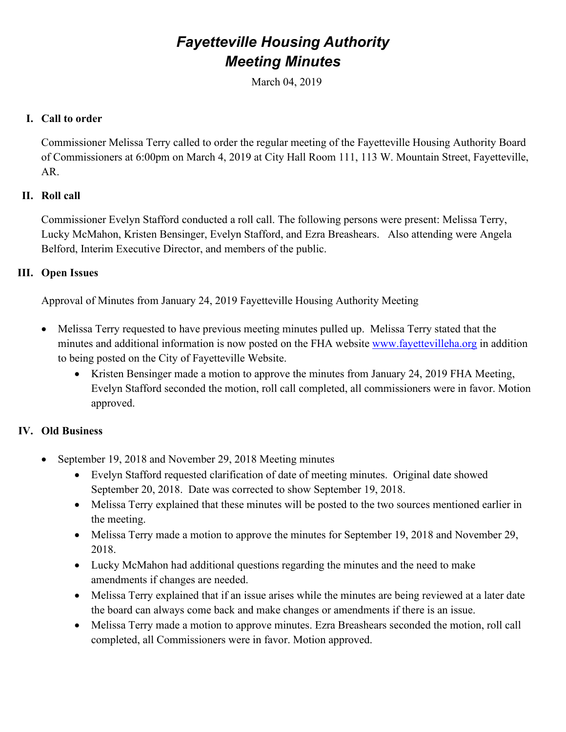# *Fayetteville Housing Authority Meeting Minutes*

March 04, 2019

# **I. Call to order**

Commissioner Melissa Terry called to order the regular meeting of the Fayetteville Housing Authority Board of Commissioners at 6:00pm on March 4, 2019 at City Hall Room 111, 113 W. Mountain Street, Fayetteville, AR.

#### **II. Roll call**

Commissioner Evelyn Stafford conducted a roll call. The following persons were present: Melissa Terry, Lucky McMahon, Kristen Bensinger, Evelyn Stafford, and Ezra Breashears. Also attending were Angela Belford, Interim Executive Director, and members of the public.

#### **III. Open Issues**

Approval of Minutes from January 24, 2019 Fayetteville Housing Authority Meeting

- Melissa Terry requested to have previous meeting minutes pulled up. Melissa Terry stated that the minutes and additional information is now posted on the FHA website [www.fayettevilleha.org](http://www.fayettevilleha.org/) in addition to being posted on the City of Fayetteville Website.
	- Kristen Bensinger made a motion to approve the minutes from January 24, 2019 FHA Meeting, Evelyn Stafford seconded the motion, roll call completed, all commissioners were in favor. Motion approved.

# **IV. Old Business**

- September 19, 2018 and November 29, 2018 Meeting minutes
	- Evelyn Stafford requested clarification of date of meeting minutes. Original date showed September 20, 2018. Date was corrected to show September 19, 2018.
	- Melissa Terry explained that these minutes will be posted to the two sources mentioned earlier in the meeting.
	- Melissa Terry made a motion to approve the minutes for September 19, 2018 and November 29, 2018.
	- Lucky McMahon had additional questions regarding the minutes and the need to make amendments if changes are needed.
	- Melissa Terry explained that if an issue arises while the minutes are being reviewed at a later date the board can always come back and make changes or amendments if there is an issue.
	- Melissa Terry made a motion to approve minutes. Ezra Breashears seconded the motion, roll call completed, all Commissioners were in favor. Motion approved.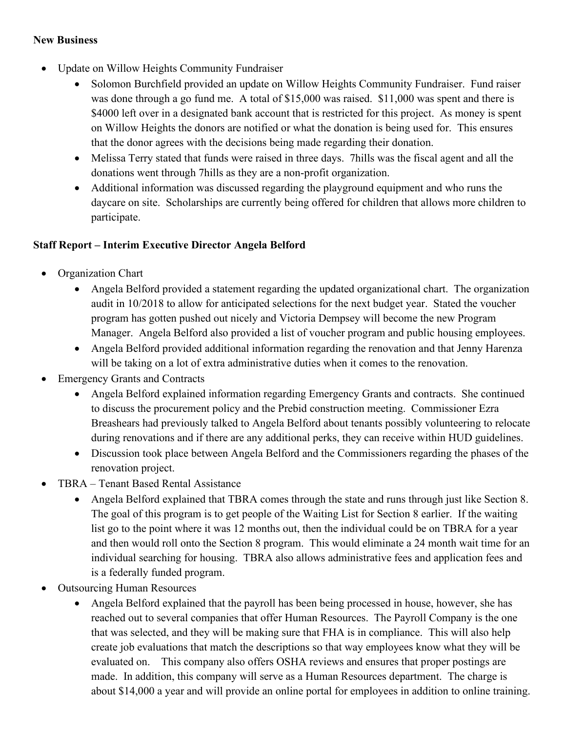#### **New Business**

- Update on Willow Heights Community Fundraiser
	- Solomon Burchfield provided an update on Willow Heights Community Fundraiser. Fund raiser was done through a go fund me. A total of \$15,000 was raised. \$11,000 was spent and there is \$4000 left over in a designated bank account that is restricted for this project. As money is spent on Willow Heights the donors are notified or what the donation is being used for. This ensures that the donor agrees with the decisions being made regarding their donation.
	- Melissa Terry stated that funds were raised in three days. 7hills was the fiscal agent and all the donations went through 7hills as they are a non-profit organization.
	- Additional information was discussed regarding the playground equipment and who runs the daycare on site. Scholarships are currently being offered for children that allows more children to participate.

# **Staff Report – Interim Executive Director Angela Belford**

- Organization Chart
	- Angela Belford provided a statement regarding the updated organizational chart. The organization audit in 10/2018 to allow for anticipated selections for the next budget year. Stated the voucher program has gotten pushed out nicely and Victoria Dempsey will become the new Program Manager. Angela Belford also provided a list of voucher program and public housing employees.
	- Angela Belford provided additional information regarding the renovation and that Jenny Harenza will be taking on a lot of extra administrative duties when it comes to the renovation.
- Emergency Grants and Contracts
	- Angela Belford explained information regarding Emergency Grants and contracts. She continued to discuss the procurement policy and the Prebid construction meeting. Commissioner Ezra Breashears had previously talked to Angela Belford about tenants possibly volunteering to relocate during renovations and if there are any additional perks, they can receive within HUD guidelines.
	- Discussion took place between Angela Belford and the Commissioners regarding the phases of the renovation project.
- TBRA Tenant Based Rental Assistance
	- Angela Belford explained that TBRA comes through the state and runs through just like Section 8. The goal of this program is to get people of the Waiting List for Section 8 earlier. If the waiting list go to the point where it was 12 months out, then the individual could be on TBRA for a year and then would roll onto the Section 8 program. This would eliminate a 24 month wait time for an individual searching for housing. TBRA also allows administrative fees and application fees and is a federally funded program.
- Outsourcing Human Resources
	- Angela Belford explained that the payroll has been being processed in house, however, she has reached out to several companies that offer Human Resources. The Payroll Company is the one that was selected, and they will be making sure that FHA is in compliance. This will also help create job evaluations that match the descriptions so that way employees know what they will be evaluated on. This company also offers OSHA reviews and ensures that proper postings are made. In addition, this company will serve as a Human Resources department. The charge is about \$14,000 a year and will provide an online portal for employees in addition to online training.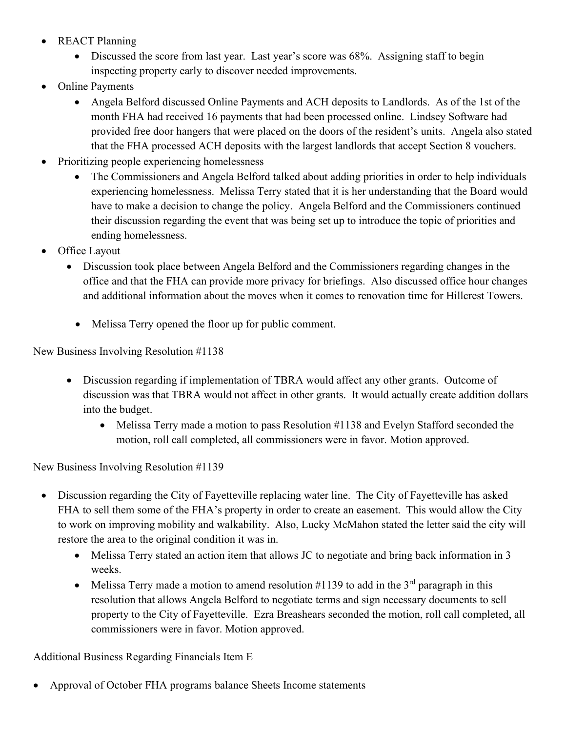- REACT Planning
	- Discussed the score from last year. Last year's score was 68%. Assigning staff to begin inspecting property early to discover needed improvements.
- Online Payments
	- Angela Belford discussed Online Payments and ACH deposits to Landlords. As of the 1st of the month FHA had received 16 payments that had been processed online. Lindsey Software had provided free door hangers that were placed on the doors of the resident's units. Angela also stated that the FHA processed ACH deposits with the largest landlords that accept Section 8 vouchers.
- Prioritizing people experiencing homelessness
	- The Commissioners and Angela Belford talked about adding priorities in order to help individuals experiencing homelessness. Melissa Terry stated that it is her understanding that the Board would have to make a decision to change the policy. Angela Belford and the Commissioners continued their discussion regarding the event that was being set up to introduce the topic of priorities and ending homelessness.
- Office Layout
	- Discussion took place between Angela Belford and the Commissioners regarding changes in the office and that the FHA can provide more privacy for briefings. Also discussed office hour changes and additional information about the moves when it comes to renovation time for Hillcrest Towers.
		- Melissa Terry opened the floor up for public comment.

New Business Involving Resolution #1138

- Discussion regarding if implementation of TBRA would affect any other grants. Outcome of discussion was that TBRA would not affect in other grants. It would actually create addition dollars into the budget.
	- Melissa Terry made a motion to pass Resolution #1138 and Evelyn Stafford seconded the motion, roll call completed, all commissioners were in favor. Motion approved.

New Business Involving Resolution #1139

- Discussion regarding the City of Fayetteville replacing water line. The City of Fayetteville has asked FHA to sell them some of the FHA's property in order to create an easement. This would allow the City to work on improving mobility and walkability. Also, Lucky McMahon stated the letter said the city will restore the area to the original condition it was in.
	- Melissa Terry stated an action item that allows JC to negotiate and bring back information in 3 weeks.
	- Melissa Terry made a motion to amend resolution  $\#1139$  to add in the 3<sup>rd</sup> paragraph in this resolution that allows Angela Belford to negotiate terms and sign necessary documents to sell property to the City of Fayetteville. Ezra Breashears seconded the motion, roll call completed, all commissioners were in favor. Motion approved.

Additional Business Regarding Financials Item E

• Approval of October FHA programs balance Sheets Income statements